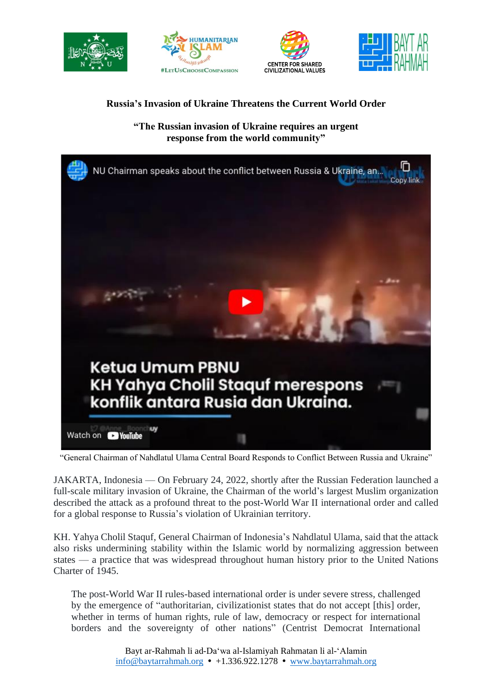







## **Russia's Invasion of Ukraine Threatens the Current World Order**

**"The Russian invasion of Ukraine requires an urgent response from the world community"**



"General Chairman of Nahdlatul Ulama Central Board Responds to Conflict Between Russia and Ukraine"

JAKARTA, Indonesia — On February 24, 2022, shortly after the Russian Federation launched a full-scale military invasion of Ukraine, the Chairman of the world's largest Muslim organization described the attack as a profound threat to the post-World War II international order and called for a global response to Russia's violation of Ukrainian territory.

KH. Yahya Cholil Staquf, General Chairman of Indonesia's Nahdlatul Ulama, said that the attack also risks undermining stability within the Islamic world by normalizing aggression between states — a practice that was widespread throughout human history prior to the United Nations Charter of 1945.

The post-World War II rules-based international order is under severe stress, challenged by the emergence of "authoritarian, civilizationist states that do not accept [this] order, whether in terms of human rights, rule of law, democracy or respect for international borders and the sovereignty of other nations" (Centrist Democrat International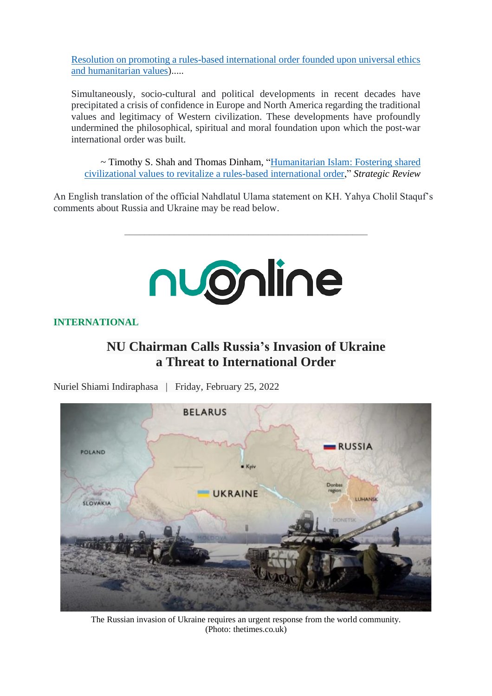Resolution on promoting a rules-based [international](https://www.baytarrahmah.org/media/2020/CDI_Resolution-on-promoting-a-rules-based-international-order-founded-upon-universal-ethics-and-humanitarian-values.pdf) order founded upon universal ethics and [humanitarian](https://www.baytarrahmah.org/media/2020/CDI_Resolution-on-promoting-a-rules-based-international-order-founded-upon-universal-ethics-and-humanitarian-values.pdf) values).....

Simultaneously, socio-cultural and political developments in recent decades have precipitated a crisis of confidence in Europe and North America regarding the traditional values and legitimacy of Western civilization. These developments have profoundly undermined the philosophical, spiritual and moral foundation upon which the post-war international order was built.

~ Timothy S. Shah and Thomas Dinham, ["Humanitarian](https://www.baytarrahmah.org/media/2020/Strategic-Review_Humanitarian-Islam_Fostering-Shared-Civilizational-Values_07-02-20.pdf) Islam: Fostering shared [civilizational](https://www.baytarrahmah.org/media/2020/Strategic-Review_Humanitarian-Islam_Fostering-Shared-Civilizational-Values_07-02-20.pdf) values to revitalize a rules-based international order," *Strategic Review*

An English translation of the official Nahdlatul Ulama statement on KH. Yahya Cholil Staquf's comments about Russia and Ukraine may be read below.

\_\_\_\_\_\_\_\_\_\_\_\_\_\_\_\_\_\_\_\_\_\_\_\_\_\_\_\_\_\_\_\_\_\_\_\_\_\_\_\_\_\_\_\_\_\_\_\_\_



**INTERNATIONAL**

## **NU Chairman Calls Russia's Invasion of Ukraine a Threat to International Order**

Nuriel Shiami Indiraphasa | Friday, February 25, 2022



The Russian invasion of Ukraine requires an urgent response from the world community. (Photo: thetimes.co.uk)